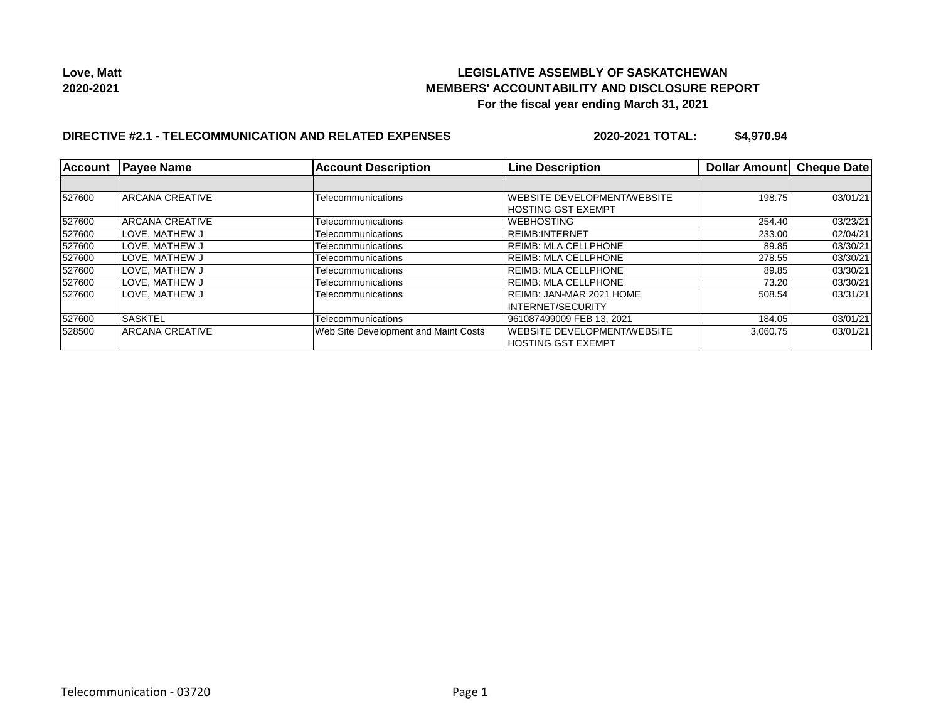

## **DIRECTIVE #2.1 - TELECOMMUNICATION AND RELATED EXPENSES**

**2020-2021 TOTAL: \$4,970.94**

| Account | <b>Payee Name</b>      | <b>Account Description</b>           | <b>Line Description</b>             | Dollar Amount | <b>Cheque Date</b> |
|---------|------------------------|--------------------------------------|-------------------------------------|---------------|--------------------|
|         |                        |                                      |                                     |               |                    |
| 527600  | <b>ARCANA CREATIVE</b> | Telecommunications                   | WEBSITE DEVELOPMENT/WEBSITE         | 198.75        | 03/01/21           |
|         |                        |                                      | <b>HOSTING GST EXEMPT</b>           |               |                    |
| 527600  | ARCANA CREATIVE        | Telecommunications                   | <b>WEBHOSTING</b>                   | 254.40        | 03/23/21           |
| 527600  | LOVE, MATHEW J         | Telecommunications                   | REIMB: INTERNET                     | 233.00        | 02/04/21           |
| 527600  | LOVE, MATHEW J         | Telecommunications                   | <b>REIMB: MLA CELLPHONE</b>         | 89.85         | 03/30/21           |
| 527600  | LOVE. MATHEW J         | Telecommunications                   | REIMB: MLA CELLPHONE                | 278.55        | 03/30/21           |
| 527600  | LOVE, MATHEW J         | Telecommunications                   | REIMB: MLA CELLPHONE                | 89.85         | 03/30/21           |
| 527600  | LOVE, MATHEW J         | Telecommunications                   | REIMB: MLA CELLPHONE                | 73.20         | 03/30/21           |
| 527600  | LOVE, MATHEW J         | Telecommunications                   | REIMB: JAN-MAR 2021 HOME            | 508.54        | 03/31/21           |
|         |                        |                                      | INTERNET/SECURITY                   |               |                    |
| 527600  | <b>SASKTEL</b>         | Telecommunications                   | 961087499009 FEB 13, 2021           | 184.05        | 03/01/21           |
| 528500  | ARCANA CREATIVE        | Web Site Development and Maint Costs | <b>IWEBSITE DEVELOPMENT/WEBSITE</b> | 3.060.75      | 03/01/21           |
|         |                        |                                      | <b>HOSTING GST EXEMPT</b>           |               |                    |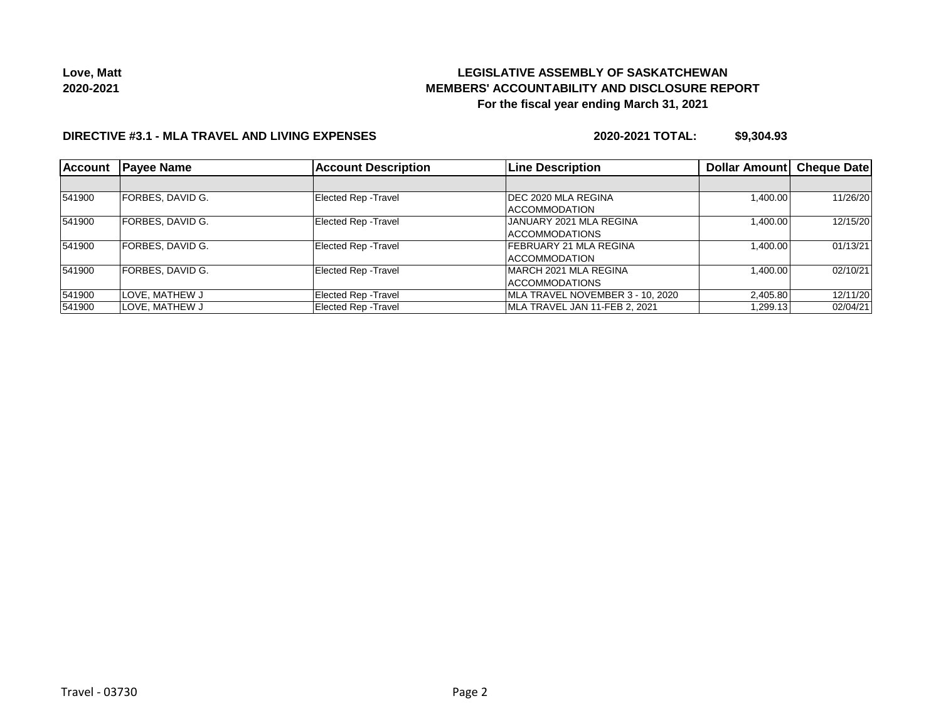

#### **DIRECTIVE #3.1 - MLA TRAVEL AND LIVING EXPENSES**

**2020-2021 TOTAL: \$9,304.93**

| <b>Account</b> | <b>Payee Name</b> | <b>Account Description</b>  | <b>Line Description</b>          | <b>Dollar Amount</b> | <b>Cheque Date</b> |
|----------------|-------------------|-----------------------------|----------------------------------|----------------------|--------------------|
|                |                   |                             |                                  |                      |                    |
| 541900         | FORBES, DAVID G.  | <b>Elected Rep - Travel</b> | DEC 2020 MLA REGINA              | 1,400.00             | 11/26/20           |
|                |                   |                             | <b>IACCOMMODATION</b>            |                      |                    |
| 541900         | FORBES, DAVID G.  | <b>Elected Rep - Travel</b> | JANUARY 2021 MLA REGINA          | 1,400.00             | 12/15/20           |
|                |                   |                             | <b>ACCOMMODATIONS</b>            |                      |                    |
| 541900         | FORBES, DAVID G.  | Elected Rep - Travel        | FEBRUARY 21 MLA REGINA           | 1,400.00             | 01/13/21           |
|                |                   |                             | <b>ACCOMMODATION</b>             |                      |                    |
| 541900         | FORBES. DAVID G.  | Elected Rep - Travel        | <b>IMARCH 2021 MLA REGINA</b>    | 1,400.00             | 02/10/21           |
|                |                   |                             | <b>ACCOMMODATIONS</b>            |                      |                    |
| 541900         | LOVE, MATHEW J    | Elected Rep - Travel        | MLA TRAVEL NOVEMBER 3 - 10, 2020 | 2,405.80             | 12/11/20           |
| 541900         | ILOVE. MATHEW J   | Elected Rep - Travel        | MLA TRAVEL JAN 11-FEB 2, 2021    | 1,299.13             | 02/04/21           |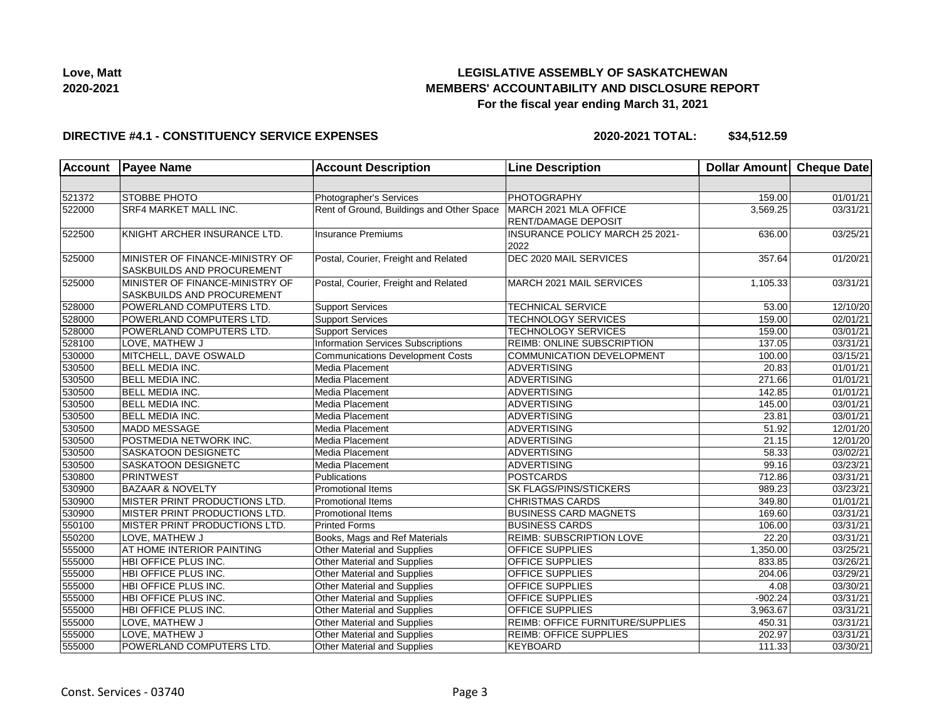

#### **DIRECTIVE #4.1 - CONSTITUENCY SERVICE EXPENSES**

**2020-2021 TOTAL: \$34,512.59**

| <b>Account</b> | <b>Payee Name</b>               | <b>Account Description</b>                | <b>Line Description</b>                | Dollar Amount Cheque Date |                       |
|----------------|---------------------------------|-------------------------------------------|----------------------------------------|---------------------------|-----------------------|
|                |                                 |                                           |                                        |                           |                       |
| 521372         | STOBBE PHOTO                    | Photographer's Services                   | <b>PHOTOGRAPHY</b>                     | 159.00                    | 01/01/21              |
| 522000         | SRF4 MARKET MALL INC.           | Rent of Ground, Buildings and Other Space | MARCH 2021 MLA OFFICE                  | 3,569.25                  | 03/31/21              |
|                |                                 |                                           | <b>RENT/DAMAGE DEPOSIT</b>             |                           |                       |
| 522500         | KNIGHT ARCHER INSURANCE LTD.    | <b>Insurance Premiums</b>                 | <b>INSURANCE POLICY MARCH 25 2021-</b> | 636.00                    | 03/25/21              |
|                |                                 |                                           | 2022                                   |                           |                       |
| 525000         | MINISTER OF FINANCE-MINISTRY OF | Postal, Courier, Freight and Related      | DEC 2020 MAIL SERVICES                 | 357.64                    | 01/20/21              |
|                | SASKBUILDS AND PROCUREMENT      |                                           |                                        |                           |                       |
| 525000         | MINISTER OF FINANCE-MINISTRY OF | Postal, Courier, Freight and Related      | MARCH 2021 MAIL SERVICES               | 1,105.33                  | 03/31/21              |
|                | SASKBUILDS AND PROCUREMENT      |                                           |                                        |                           |                       |
| 528000         | POWERLAND COMPUTERS LTD.        | <b>Support Services</b>                   | TECHNICAL SERVICE                      | 53.00                     | 12/10/20              |
| 528000         | POWERLAND COMPUTERS LTD.        | <b>Support Services</b>                   | <b>TECHNOLOGY SERVICES</b>             | 159.00                    | 02/01/21              |
| 528000         | POWERLAND COMPUTERS LTD.        | <b>Support Services</b>                   | TECHNOLOGY SERVICES                    | 159.00                    | 03/01/21              |
| 528100         | LOVE, MATHEW J                  | <b>Information Services Subscriptions</b> | REIMB: ONLINE SUBSCRIPTION             | 137.05                    | 03/31/21              |
| 530000         | MITCHELL, DAVE OSWALD           | <b>Communications Development Costs</b>   | COMMUNICATION DEVELOPMENT              | 100.00                    | 03/15/21              |
| 530500         | <b>BELL MEDIA INC.</b>          | Media Placement                           | <b>ADVERTISING</b>                     | 20.83                     | 01/01/21              |
| 530500         | <b>BELL MEDIA INC.</b>          | Media Placement                           | <b>ADVERTISING</b>                     | 271.66                    | 01/01/21              |
| 530500         | <b>BELL MEDIA INC.</b>          | Media Placement                           | <b>ADVERTISING</b>                     | 142.85                    | 01/01/21              |
| 530500         | <b>BELL MEDIA INC.</b>          | Media Placement                           | <b>ADVERTISING</b>                     | 145.00                    | 03/01/21              |
| 530500         | BELL MEDIA INC.                 | Media Placement                           | <b>ADVERTISING</b>                     | 23.81                     | 03/01/21              |
| 530500         | MADD MESSAGE                    | Media Placement                           | <b>ADVERTISING</b>                     | 51.92                     | 12/01/20              |
| 530500         | POSTMEDIA NETWORK INC.          | Media Placement                           | <b>ADVERTISING</b>                     | 21.15                     | 12/01/20              |
| 530500         | SASKATOON DESIGNETC             | Media Placement                           | <b>ADVERTISING</b>                     | 58.33                     | 03/02/21              |
| 530500         | SASKATOON DESIGNETC             | Media Placement                           | <b>ADVERTISING</b>                     | 99.16                     | 03/23/21              |
| 530800         | <b>PRINTWEST</b>                | Publications                              | <b>POSTCARDS</b>                       | 712.86                    | 03/31/21              |
| 530900         | <b>BAZAAR &amp; NOVELTY</b>     | Promotional Items                         | SK FLAGS/PINS/STICKERS                 | 989.23                    | 03/23/21              |
| 530900         | MISTER PRINT PRODUCTIONS LTD.   | <b>Promotional Items</b>                  | <b>CHRISTMAS CARDS</b>                 | 349.80                    | $\overline{01/01/21}$ |
| 530900         | MISTER PRINT PRODUCTIONS LTD.   | <b>Promotional Items</b>                  | <b>BUSINESS CARD MAGNETS</b>           | 169.60                    | 03/31/21              |
| 550100         | MISTER PRINT PRODUCTIONS LTD.   | <b>Printed Forms</b>                      | <b>BUSINESS CARDS</b>                  | 106.00                    | 03/31/21              |
| 550200         | LOVE, MATHEW J                  | Books, Mags and Ref Materials             | <b>REIMB: SUBSCRIPTION LOVE</b>        | 22.20                     | 03/31/21              |
| 555000         | AT HOME INTERIOR PAINTING       | Other Material and Supplies               | <b>OFFICE SUPPLIES</b>                 | 1,350.00                  | 03/25/21              |
| 555000         | HBI OFFICE PLUS INC.            | Other Material and Supplies               | OFFICE SUPPLIES                        | 833.85                    | 03/26/21              |
| 555000         | HBI OFFICE PLUS INC.            | Other Material and Supplies               | OFFICE SUPPLIES                        | 204.06                    | 03/29/21              |
| 555000         | HBI OFFICE PLUS INC.            | Other Material and Supplies               | OFFICE SUPPLIES                        | 4.08                      | 03/30/21              |
| 555000         | HBI OFFICE PLUS INC.            | Other Material and Supplies               | OFFICE SUPPLIES                        | $-902.24$                 | 03/31/21              |
| 555000         | HBI OFFICE PLUS INC.            | Other Material and Supplies               | OFFICE SUPPLIES                        | 3,963.67                  | 03/31/21              |
| 555000         | LOVE, MATHEW J                  | Other Material and Supplies               | REIMB: OFFICE FURNITURE/SUPPLIES       | 450.31                    | 03/31/21              |
| 555000         | LOVE, MATHEW J                  | Other Material and Supplies               | <b>REIMB: OFFICE SUPPLIES</b>          | 202.97                    | 03/31/21              |
| 555000         | POWERLAND COMPUTERS LTD.        | <b>Other Material and Supplies</b>        | <b>KEYBOARD</b>                        | 111.33                    | 03/30/21              |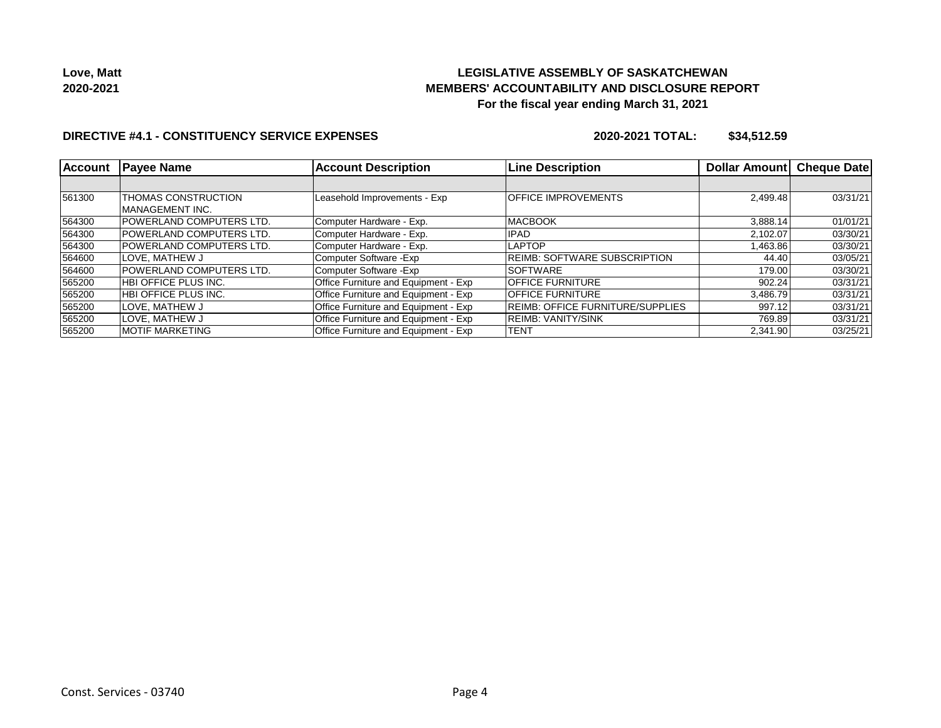

#### **DIRECTIVE #4.1 - CONSTITUENCY SERVICE EXPENSES**

**2020-2021 TOTAL: \$34,512.59**

| <b>Account</b> | <b>Payee Name</b>                             | <b>Account Description</b>                  | <b>Line Description</b>                 | Dollar Amount | <b>Cheque Date</b> |
|----------------|-----------------------------------------------|---------------------------------------------|-----------------------------------------|---------------|--------------------|
|                |                                               |                                             |                                         |               |                    |
| 561300         | <b>THOMAS CONSTRUCTION</b><br>MANAGEMENT INC. | Leasehold Improvements - Exp                | <b>OFFICE IMPROVEMENTS</b>              | 2,499.48      | 03/31/21           |
| 564300         | <b>POWERLAND COMPUTERS LTD.</b>               | Computer Hardware - Exp.                    | <b>MACBOOK</b>                          | 3,888.14      | 01/01/21           |
| 564300         | <b>POWERLAND COMPUTERS LTD.</b>               | Computer Hardware - Exp.                    | <b>IPAD</b>                             | 2,102.07      | 03/30/21           |
| 564300         | <b>POWERLAND COMPUTERS LTD.</b>               | Computer Hardware - Exp.                    | <b>LAPTOP</b>                           | 1,463.86      | 03/30/21           |
| 564600         | LOVE. MATHEW J                                | Computer Software - Exp                     | <b>REIMB: SOFTWARE SUBSCRIPTION</b>     | 44.40         | 03/05/21           |
| 564600         | <b>POWERLAND COMPUTERS LTD.</b>               | Computer Software - Exp                     | <b>SOFTWARE</b>                         | 179.00        | 03/30/21           |
| 565200         | <b>HBI OFFICE PLUS INC.</b>                   | <b>Office Furniture and Equipment - Exp</b> | <b>OFFICE FURNITURE</b>                 | 902.24        | 03/31/21           |
| 565200         | <b>HBI OFFICE PLUS INC.</b>                   | Office Furniture and Equipment - Exp        | <b>OFFICE FURNITURE</b>                 | 3.486.79      | 03/31/21           |
| 565200         | LOVE, MATHEW J                                | Office Furniture and Equipment - Exp        | <b>REIMB: OFFICE FURNITURE/SUPPLIES</b> | 997.12        | 03/31/21           |
| 565200         | LOVE. MATHEW J                                | Office Furniture and Equipment - Exp        | <b>REIMB: VANITY/SINK</b>               | 769.89        | 03/31/21           |
| 565200         | <b>MOTIF MARKETING</b>                        | Office Furniture and Equipment - Exp        | TENT                                    | 2,341.90      | 03/25/21           |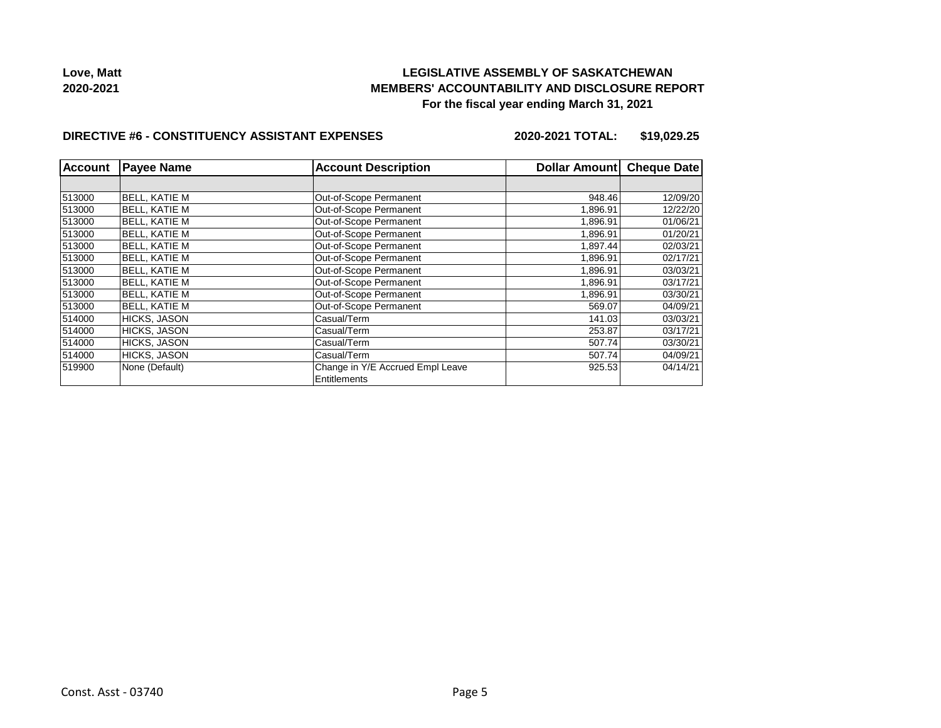

#### **DIRECTIVE #6 - CONSTITUENCY ASSISTANT EXPENSES**

**2020-2021 TOTAL: \$19,029.25**

| <b>Account</b> | <b>Payee Name</b>    | <b>Account Description</b>       | Dollar Amount | <b>Cheque Date</b> |
|----------------|----------------------|----------------------------------|---------------|--------------------|
|                |                      |                                  |               |                    |
| 513000         | <b>BELL, KATIE M</b> | Out-of-Scope Permanent           | 948.46        | 12/09/20           |
| 513000         | <b>BELL, KATIE M</b> | Out-of-Scope Permanent           | 1,896.91      | 12/22/20           |
| 513000         | <b>BELL, KATIE M</b> | Out-of-Scope Permanent           | 1,896.91      | 01/06/21           |
| 513000         | <b>BELL, KATIE M</b> | Out-of-Scope Permanent           | 1,896.91      | 01/20/21           |
| 513000         | <b>BELL, KATIE M</b> | Out-of-Scope Permanent           | 1,897.44      | 02/03/21           |
| 513000         | <b>BELL, KATIE M</b> | Out-of-Scope Permanent           | 1.896.91      | 02/17/21           |
| 513000         | <b>BELL, KATIE M</b> | Out-of-Scope Permanent           | 1.896.91      | 03/03/21           |
| 513000         | <b>BELL, KATIE M</b> | Out-of-Scope Permanent           | 1.896.91      | 03/17/21           |
| 513000         | <b>BELL, KATIE M</b> | Out-of-Scope Permanent           | 1,896.91      | 03/30/21           |
| 513000         | <b>BELL, KATIE M</b> | Out-of-Scope Permanent           | 569.07        | 04/09/21           |
| 514000         | <b>HICKS, JASON</b>  | Casual/Term                      | 141.03        | 03/03/21           |
| 514000         | <b>HICKS, JASON</b>  | Casual/Term                      | 253.87        | 03/17/21           |
| 514000         | <b>HICKS, JASON</b>  | Casual/Term                      | 507.74        | 03/30/21           |
| 514000         | <b>HICKS, JASON</b>  | Casual/Term                      | 507.74        | 04/09/21           |
| 519900         | None (Default)       | Change in Y/E Accrued Empl Leave | 925.53        | 04/14/21           |
|                |                      | Entitlements                     |               |                    |